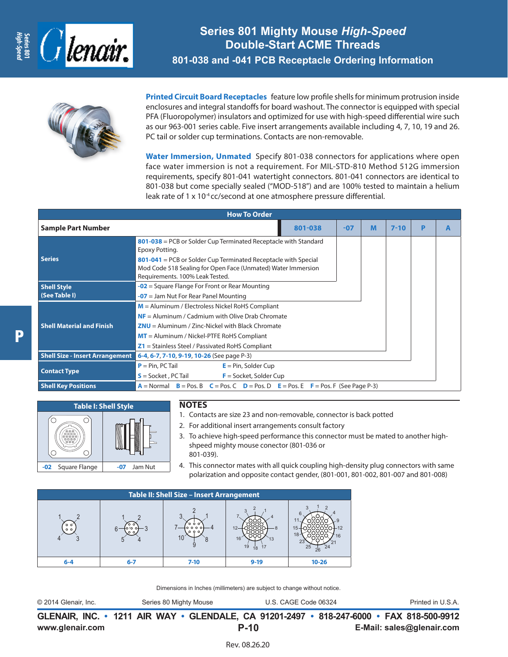



**Printed Circuit Board Receptacles** feature low profile shells for minimum protrusion inside enclosures and integral standoffs for board washout. The connector is equipped with special PFA (Fluoropolymer) insulators and optimized for use with high-speed differential wire such as our 963-001 series cable. Five insert arrangements available including 4, 7, 10, 19 and 26. PC tail or solder cup terminations. Contacts are non-removable.

**Water Immersion, Unmated** Specify 801-038 connectors for applications where open face water immersion is not a requirement. For MIL-STD-810 Method 512G immersion requirements, specify 801-041 watertight connectors. 801-041 connectors are identical to 801-038 but come specially sealed ("MOD-518") and are 100% tested to maintain a helium leak rate of 1 x 10<sup>-4</sup> cc/second at one atmosphere pressure differential.

| <b>How To Order</b>                    |                                                                                                                                                                                                                                                                      |         |       |   |          |   |   |
|----------------------------------------|----------------------------------------------------------------------------------------------------------------------------------------------------------------------------------------------------------------------------------------------------------------------|---------|-------|---|----------|---|---|
| <b>Sample Part Number</b>              |                                                                                                                                                                                                                                                                      | 801-038 | $-07$ | M | $7 - 10$ | P | A |
| <b>Series</b>                          | 801-038 = PCB or Solder Cup Terminated Receptacle with Standard<br>Epoxy Potting.<br>$801-041$ = PCB or Solder Cup Terminated Receptacle with Special<br>Mod Code 518 Sealing for Open Face (Unmated) Water Immersion<br>Requirements. 100% Leak Tested.             |         |       |   |          |   |   |
| <b>Shell Style</b><br>(See Table I)    | $-02$ = Square Flange For Front or Rear Mounting<br>$-07$ = Jam Nut For Rear Panel Mounting                                                                                                                                                                          |         |       |   |          |   |   |
| <b>Shell Material and Finish</b>       | $M =$ Aluminum / Electroless Nickel RoHS Compliant<br>$NF =$ Aluminum / Cadmium with Olive Drab Chromate<br>$ZNU =$ Aluminum / Zinc-Nickel with Black Chromate<br>$MT =$ Aluminum / Nickel-PTFE RoHS Compliant<br>$Z1$ = Stainless Steel / Passivated RoHS Compliant |         |       |   |          |   |   |
| <b>Shell Size - Insert Arrangement</b> | 6-4, 6-7, 7-10, 9-19, 10-26 (See page P-3)                                                                                                                                                                                                                           |         |       |   |          |   |   |
| <b>Contact Type</b>                    | $P = Pin, PC Tail$<br>$E = Pin$ , Solder Cup<br>$S =$ Socket, PC Tail<br>$F =$ Socket, Solder Cup                                                                                                                                                                    |         |       |   |          |   |   |
| <b>Shell Key Positions</b>             | $A =$ Normal $B =$ Pos. B $C =$ Pos. C $D =$ Pos. D $E =$ Pos. E $F =$ Pos. F (See Page P-3)                                                                                                                                                                         |         |       |   |          |   |   |



### **NOTES**

- 1. Contacts are size 23 and non-removable, connector is back potted
- 2. For additional insert arrangements consult factory
- 3. To achieve high-speed performance this connector must be mated to another highshpeed mighty mouse conector (801-036 or 801-039).
- 4. This connector mates with all quick coupling high-density plug connectors with same polarization and opposite contact gender, (801-001, 801-002, 801-007 and 801-008)

| <b>Table II: Shell Size - Insert Arrangement</b> |     |          |          |           |
|--------------------------------------------------|-----|----------|----------|-----------|
| $\circ$ $\circ$<br>$^{\circ}$                    |     |          | ın<br>19 | 18<br>25  |
|                                                  | 6-7 | $7 - 10$ | $9 - 19$ | $10 - 26$ |

Dimensions in Inches (millimeters) are subject to change without notice.

| © 2014 Glenair, Inc. | Series 80 Mighty Mouse                                                            | U.S. CAGE Code 06324 | Printed in U.S.A. |
|----------------------|-----------------------------------------------------------------------------------|----------------------|-------------------|
|                      | CLENAID INC. 4244 AID WAV. CLENDALE CA 04204 2407. 949 247 COOL. EAV 949 EOO 0042 |                      |                   |

**www.glenair.com E-Mail: sales@glenair.com GLENAIR, INC. • 1211 AIR WAY • GLENDALE, CA 91201-2497 • 818-247-6000 • FAX 818-500-9912 P-10**

P

Rev. 08.26.20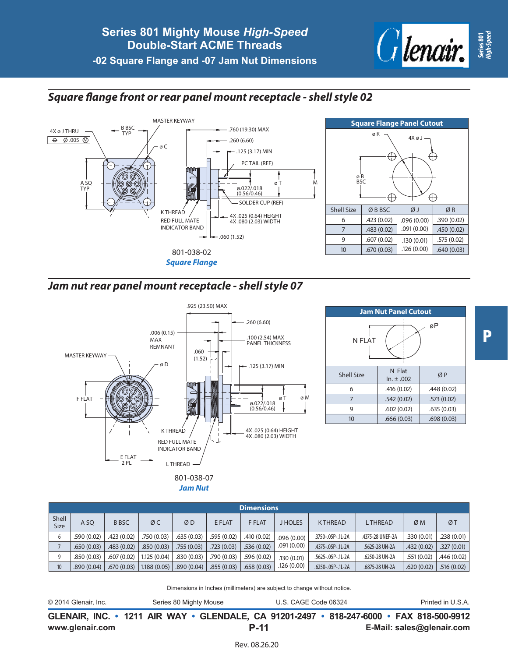# *Square flange front or rear panel mount receptacle - shell style 02*





## *Jam nut rear panel mount receptacle - shell style 07*





P

**Dimensions** Shell SIZE | A SQ | B BSC | Ø C | Ø D | E FLAT | F FLAT | J HOLES | K THREAD | L THREAD | Ø M | Ø T 6 .590 (0.02) .423 (0.02) .750 (0.03) .635 (0.03) .595 (0.02) .410 (0.02) .096 (0.00) .091 (0.00) .3750-.05P-.1L-2A .4375-28 UNEF-2A .330 (0.01) .238 (0.01) 7 .650 (0.03) .483 (0.02) .327 (0.03) .523 (0.03) .336 (0.02) .536 (0.02) .536 (0.02) .4375-.05P-.1L-2A .5625-28 UN-2A .432 (0.02) .327 (0.01) .327 [0.01 9 | .850 (0.03) | .607 (0.02) | 1.125 (0.04) | .830 (0.03) | .790 (0.03) | .596 (0.02) | .130 (0.01) .126 (0.00) .5625-.05P-.1L-2A .6250-28 UN-2A .551 (0.02) .446 (0.02) 10 .6875-28 UN-2A .6875-28 UN-2A .6875-28 UN-2A .659 (0.03) .658 (0.03) .658 (0.03) .658 (0.03) .626 (0.04) .620 (0.02) .516 (0.02) .516 (0.02) .6875-28 UN-2A .6875-28 UN-2A .6875-28 UN-2A .6875-28 UN-2A .620 (0.02) .516 (

Dimensions in Inches (millimeters) are subject to change without notice.

| © 2014 Glenair, Inc. | Series 80 Mighty Mouse | U.S. CAGE Code 06324                                                                     | Printed in U.S.A. |
|----------------------|------------------------|------------------------------------------------------------------------------------------|-------------------|
|                      |                        | GLENAIR, INC. • 1211 AIR WAY • GLENDALE, CA 91201-2497 • 818-247-6000 • FAX 818-500-9912 |                   |

**P-11**

Rev. 08.26.20

**www.glenair.com E-Mail: sales@glenair.com**